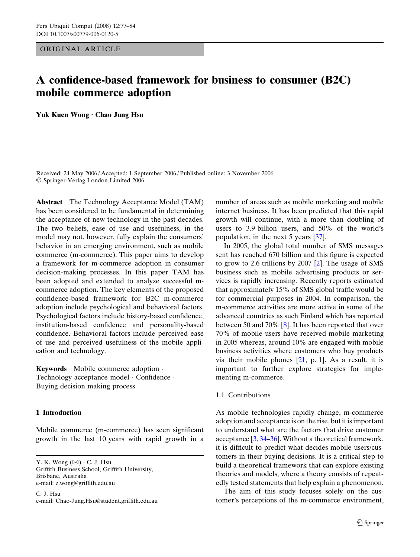ORIGINAL ARTICLE

# A confidence-based framework for business to consumer (B2C) mobile commerce adoption

Yuk Kuen Wong · Chao Jung Hsu

Received: 24 May 2006 / Accepted: 1 September 2006 / Published online: 3 November 2006 Springer-Verlag London Limited 2006

Abstract The Technology Acceptance Model (TAM) has been considered to be fundamental in determining the acceptance of new technology in the past decades. The two beliefs, ease of use and usefulness, in the model may not, however, fully explain the consumers' behavior in an emerging environment, such as mobile commerce (m-commerce). This paper aims to develop a framework for m-commerce adoption in consumer decision-making processes. In this paper TAM has been adopted and extended to analyze successful mcommerce adoption. The key elements of the proposed confidence-based framework for B2C m-commerce adoption include psychological and behavioral factors. Psychological factors include history-based confidence, institution-based confidence and personality-based confidence. Behavioral factors include perceived ease of use and perceived usefulness of the mobile application and technology.

Keywords Mobile commerce adoption . Technology acceptance model · Confidence · Buying decision making process

# 1 Introduction

Mobile commerce (m-commerce) has seen significant growth in the last 10 years with rapid growth in a

Y. K. Wong  $(\boxtimes) \cdot C$ . J. Hsu Griffith Business School, Griffith University, Brisbane, Australia e-mail: z.wong@griffith.edu.au

C. J. Hsu e-mail: Chao-Jung.Hsu@student.griffith.edu.au number of areas such as mobile marketing and mobile internet business. It has been predicted that this rapid growth will continue, with a more than doubling of users to 3.9 billion users, and 50% of the world's population, in the next 5 years [[37\]](#page-7-0).

In 2005, the global total number of SMS messages sent has reached 670 billion and this figure is expected to grow to 2.6 trillions by 2007 [[2\]](#page-7-0). The usage of SMS business such as mobile advertising products or services is rapidly increasing. Recently reports estimated that approximately 15% of SMS global traffic would be for commercial purposes in 2004. In comparison, the m-commerce activities are more active in some of the advanced countries as such Finland which has reported between 50 and 70% [[8\]](#page-7-0). It has been reported that over 70% of mobile users have received mobile marketing in 2005 whereas, around 10% are engaged with mobile business activities where customers who buy products via their mobile phones [\[21](#page-7-0), p. 1]. As a result, it is important to further explore strategies for implementing m-commerce.

## 1.1 Contributions

As mobile technologies rapidly change, m-commerce adoption and acceptance is on the rise, but it is important to understand what are the factors that drive customer acceptance [\[3](#page-7-0), [34–36](#page-7-0)]. Without a theoretical framework, it is difficult to predict what decides mobile users/customers in their buying decisions. It is a critical step to build a theoretical framework that can explore existing theories and models, where a theory consists of repeatedly tested statements that help explain a phenomenon.

The aim of this study focuses solely on the customer's perceptions of the m-commerce environment,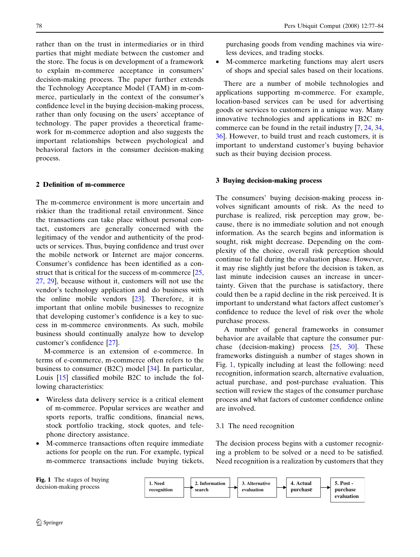rather than on the trust in intermediaries or in third parties that might mediate between the customer and the store. The focus is on development of a framework to explain m-commerce acceptance in consumers' decision-making process. The paper further extends the Technology Acceptance Model (TAM) in m-commerce, particularly in the context of the consumer's confidence level in the buying decision-making process, rather than only focusing on the users' acceptance of technology. The paper provides a theoretical framework for m-commerce adoption and also suggests the important relationships between psychological and behavioral factors in the consumer decision-making process.

# 2 Definition of m-commerce

The m-commerce environment is more uncertain and riskier than the traditional retail environment. Since the transactions can take place without personal contact, customers are generally concerned with the legitimacy of the vendor and authenticity of the products or services. Thus, buying confidence and trust over the mobile network or Internet are major concerns. Consumer's confidence has been identified as a con-struct that is critical for the success of m-commerce [[25,](#page-7-0) [27](#page-7-0), [29](#page-7-0)], because without it, customers will not use the vendor's technology application and do business with the online mobile vendors [[23\]](#page-7-0). Therefore, it is important that online mobile businesses to recognize that developing customer's confidence is a key to success in m-commerce environments. As such, mobile business should continually analyze how to develop customer's confidence [[27\]](#page-7-0).

M-commerce is an extension of e-commerce. In terms of e-commerce, m-commerce often refers to the business to consumer (B2C) model [\[34](#page-7-0)]. In particular, Louis [[15\]](#page-7-0) classified mobile B2C to include the following characteristics:

- Wireless data delivery service is a critical element of m-commerce. Popular services are weather and sports reports, traffic conditions, financial news, stock portfolio tracking, stock quotes, and telephone directory assistance.
- M-commerce transactions often require immediate actions for people on the run. For example, typical m-commerce transactions include buying tickets,

purchasing goods from vending machines via wireless devices, and trading stocks.

• M-commerce marketing functions may alert users of shops and special sales based on their locations.

There are a number of mobile technologies and applications supporting m-commerce. For example, location-based services can be used for advertising goods or services to customers in a unique way. Many innovative technologies and applications in B2C mcommerce can be found in the retail industry [[7,](#page-7-0) [24,](#page-7-0) [34,](#page-7-0) [36](#page-7-0)]. However, to build trust and reach customers, it is important to understand customer's buying behavior such as their buying decision process.

#### 3 Buying decision-making process

The consumers' buying decision-making process involves significant amounts of risk. As the need to purchase is realized, risk perception may grow, because, there is no immediate solution and not enough information. As the search begins and information is sought, risk might decrease. Depending on the complexity of the choice, overall risk perception should continue to fall during the evaluation phase. However, it may rise slightly just before the decision is taken, as last minute indecision causes an increase in uncertainty. Given that the purchase is satisfactory, there could then be a rapid decline in the risk perceived. It is important to understand what factors affect customer's confidence to reduce the level of risk over the whole purchase process.

A number of general frameworks in consumer behavior are available that capture the consumer purchase (decision-making) process [[25,](#page-7-0) [30](#page-7-0)]. These frameworks distinguish a number of stages shown in Fig. 1, typically including at least the following: need recognition, information search, alternative evaluation, actual purchase, and post-purchase evaluation. This section will review the stages of the consumer purchase process and what factors of customer confidence online are involved.

#### 3.1 The need recognition

The decision process begins with a customer recognizing a problem to be solved or a need to be satisfied. Need recognition is a realization by customers that they

Fig. 1 The stages of buying decision-making process

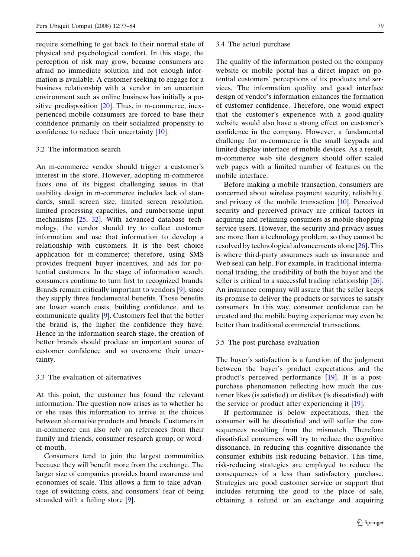require something to get back to their normal state of physical and psychological comfort. In this stage, the perception of risk may grow, because consumers are afraid no immediate solution and not enough information is available. A customer seeking to engage for a business relationship with a vendor in an uncertain environment such as online business has initially a positive predisposition [[20\]](#page-7-0). Thus, in m-commerce, inexperienced mobile consumers are forced to base their confidence primarily on their socialized propensity to confidence to reduce their uncertainty [[10\]](#page-7-0).

# 3.2 The information search

An m-commerce vendor should trigger a customer's interest in the store. However, adopting m-commerce faces one of its biggest challenging issues in that usability design in m-commerce includes lack of standards, small screen size, limited screen resolution, limited processing capacities, and cumbersome input mechanisms [\[25](#page-7-0), [32\]](#page-7-0). With advanced database technology, the vendor should try to collect customer information and use that information to develop a relationship with customers. It is the best choice application for m-commerce; therefore, using SMS provides frequent buyer incentives, and ads for potential customers. In the stage of information search, consumers continue to turn first to recognized brands. Brands remain critically important to vendors [\[9](#page-7-0)], since they supply three fundamental benefits. Those benefits are lower search costs, building confidence, and to communicate quality [\[9](#page-7-0)]. Customers feel that the better the brand is, the higher the confidence they have. Hence in the information search stage, the creation of better brands should produce an important source of customer confidence and so overcome their uncertainty.

# 3.3 The evaluation of alternatives

At this point, the customer has found the relevant information. The question now arises as to whether he or she uses this information to arrive at the choices between alternative products and brands. Customers in m-commerce can also rely on references from their family and friends, consumer research group, or wordof-mouth.

Consumers tend to join the largest communities because they will benefit more from the exchange. The larger size of companies provides brand awareness and economies of scale. This allows a firm to take advantage of switching costs, and consumers' fear of being stranded with a failing store [\[9](#page-7-0)].

#### 3.4 The actual purchase

The quality of the information posted on the company website or mobile portal has a direct impact on potential customers' perceptions of its products and services. The information quality and good interface design of vendor's information enhances the formation of customer confidence. Therefore, one would expect that the customer's experience with a good-quality website would also have a strong effect on customer's confidence in the company. However, a fundamental challenge for m-commerce is the small keypads and limited display interface of mobile devices. As a result, m-commerce web site designers should offer scaled web pages with a limited number of features on the mobile interface.

Before making a mobile transaction, consumers are concerned about wireless payment security, reliability, and privacy of the mobile transaction [[10\]](#page-7-0). Perceived security and perceived privacy are critical factors in acquiring and retaining consumers as mobile shopping service users. However, the security and privacy issues are more than a technology problem, so they cannot be resolved by technological advancements alone [[26\]](#page-7-0). This is where third-party assurances such as insurance and Web seal can help. For example, in traditional international trading, the credibility of both the buyer and the seller is critical to a successful trading relationship [\[26](#page-7-0)]. An insurance company will assure that the seller keeps its promise to deliver the products or services to satisfy consumers. In this way, consumer confidence can be created and the mobile buying experience may even be better than traditional commercial transactions.

#### 3.5 The post-purchase evaluation

The buyer's satisfaction is a function of the judgment between the buyer's product expectations and the product's perceived performance [[19\]](#page-7-0). It is a postpurchase phenomenon reflecting how much the customer likes (is satisfied) or dislikes (is dissatisfied) with the service or product after experiencing it [[19\]](#page-7-0).

If performance is below expectations, then the consumer will be dissatisfied and will suffer the consequences resulting from the mismatch. Therefore dissatisfied consumers will try to reduce the cognitive dissonance. In reducing this cognitive dissonance the consumer exhibits risk-reducing behavior. This time, risk-reducing strategies are employed to reduce the consequences of a less than satisfactory purchase. Strategies are good customer service or support that includes returning the good to the place of sale, obtaining a refund or an exchange and acquiring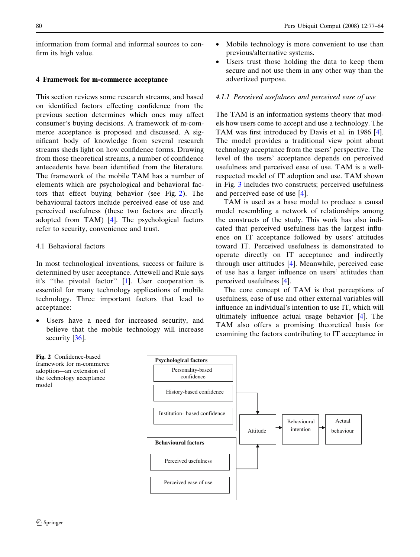information from formal and informal sources to confirm its high value.

## 4 Framework for m-commerce acceptance

This section reviews some research streams, and based on identified factors effecting confidence from the previous section determines which ones may affect consumer's buying decisions. A framework of m-commerce acceptance is proposed and discussed. A significant body of knowledge from several research streams sheds light on how confidence forms. Drawing from those theoretical streams, a number of confidence antecedents have been identified from the literature. The framework of the mobile TAM has a number of elements which are psychological and behavioral factors that effect buying behavior (see Fig. 2). The behavioural factors include perceived ease of use and perceived usefulness (these two factors are directly adopted from TAM) [\[4](#page-7-0)]. The psychological factors refer to security, convenience and trust.

# 4.1 Behavioral factors

In most technological inventions, success or failure is determined by user acceptance. Attewell and Rule says it's ''the pivotal factor'' [[1\]](#page-7-0). User cooperation is essential for many technology applications of mobile technology. Three important factors that lead to acceptance:

• Users have a need for increased security, and believe that the mobile technology will increase security [[36\]](#page-7-0).

- Mobile technology is more convenient to use than previous/alternative systems.
- Users trust those holding the data to keep them secure and not use them in any other way than the advertized purpose.

# 4.1.1 Perceived usefulness and perceived ease of use

The TAM is an information systems theory that models how users come to accept and use a technology. The TAM was first introduced by Davis et al. in 1986 [\[4](#page-7-0)]. The model provides a traditional view point about technology acceptance from the users' perspective. The level of the users' acceptance depends on perceived usefulness and perceived ease of use. TAM is a wellrespected model of IT adoption and use. TAM shown in Fig. [3](#page-4-0) includes two constructs; perceived usefulness and perceived ease of use [\[4](#page-7-0)].

TAM is used as a base model to produce a causal model resembling a network of relationships among the constructs of the study. This work has also indicated that perceived usefulness has the largest influence on IT acceptance followed by users' attitudes toward IT. Perceived usefulness is demonstrated to operate directly on IT acceptance and indirectly through user attitudes [[4\]](#page-7-0). Meanwhile, perceived ease of use has a larger influence on users' attitudes than perceived usefulness [\[4](#page-7-0)].

The core concept of TAM is that perceptions of usefulness, ease of use and other external variables will influence an individual's intention to use IT, which will ultimately influence actual usage behavior [\[4](#page-7-0)]. The TAM also offers a promising theoretical basis for examining the factors contributing to IT acceptance in

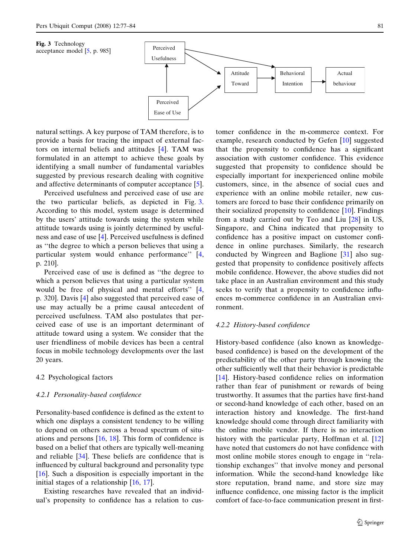<span id="page-4-0"></span>



natural settings. A key purpose of TAM therefore, is to provide a basis for tracing the impact of external factors on internal beliefs and attitudes [[4\]](#page-7-0). TAM was formulated in an attempt to achieve these goals by identifying a small number of fundamental variables suggested by previous research dealing with cognitive and affective determinants of computer acceptance [\[5](#page-7-0)].

Perceived usefulness and perceived ease of use are the two particular beliefs, as depicted in Fig. 3. According to this model, system usage is determined by the users' attitude towards using the system while attitude towards using is jointly determined by usefulness and ease of use [[4\]](#page-7-0). Perceived usefulness is defined as ''the degree to which a person believes that using a particular system would enhance performance'' [[4,](#page-7-0) p. 210].

Perceived ease of use is defined as ''the degree to which a person believes that using a particular system would be free of physical and mental efforts'' [[4,](#page-7-0) p. 320]. Davis [\[4](#page-7-0)] also suggested that perceived ease of use may actually be a prime causal antecedent of perceived usefulness. TAM also postulates that perceived ease of use is an important determinant of attitude toward using a system. We consider that the user friendliness of mobile devices has been a central focus in mobile technology developments over the last 20 years.

# 4.2 Psychological factors

#### 4.2.1 Personality-based confidence

Personality-based confidence is defined as the extent to which one displays a consistent tendency to be willing to depend on others across a broad spectrum of situations and persons  $[16, 18]$  $[16, 18]$  $[16, 18]$  $[16, 18]$ . This form of confidence is based on a belief that others are typically well-meaning and reliable [\[34](#page-7-0)]. These beliefs are confidence that is influenced by cultural background and personality type [\[16](#page-7-0)]. Such a disposition is especially important in the initial stages of a relationship [\[16](#page-7-0), [17](#page-7-0)].

Existing researches have revealed that an individual's propensity to confidence has a relation to customer confidence in the m-commerce context. For example, research conducted by Gefen [\[10](#page-7-0)] suggested that the propensity to confidence has a significant association with customer confidence. This evidence suggested that propensity to confidence should be especially important for inexperienced online mobile customers, since, in the absence of social cues and experience with an online mobile retailer, new customers are forced to base their confidence primarily on their socialized propensity to confidence [\[10](#page-7-0)]. Findings from a study carried out by Teo and Liu [\[28](#page-7-0)] in US, Singapore, and China indicated that propensity to confidence has a positive impact on customer confidence in online purchases. Similarly, the research conducted by Wingreen and Baglione [\[31](#page-7-0)] also suggested that propensity to confidence positively affects mobile confidence. However, the above studies did not take place in an Australian environment and this study seeks to verify that a propensity to confidence influences m-commerce confidence in an Australian environment.

#### 4.2.2 History-based confidence

History-based confidence (also known as knowledgebased confidence) is based on the development of the predictability of the other party through knowing the other sufficiently well that their behavior is predictable [\[14](#page-7-0)]. History-based confidence relies on information rather than fear of punishment or rewards of being trustworthy. It assumes that the parties have first-hand or second-hand knowledge of each other, based on an interaction history and knowledge. The first-hand knowledge should come through direct familiarity with the online mobile vendor. If there is no interaction history with the particular party, Hoffman et al. [[12\]](#page-7-0) have noted that customers do not have confidence with most online mobile stores enough to engage in ''relationship exchanges'' that involve money and personal information. While the second-hand knowledge like store reputation, brand name, and store size may influence confidence, one missing factor is the implicit comfort of face-to-face communication present in first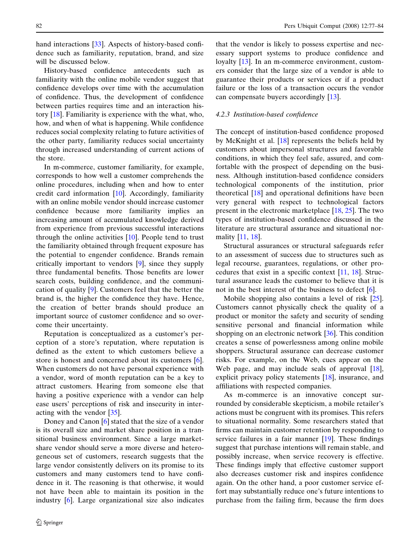hand interactions [[33\]](#page-7-0). Aspects of history-based confidence such as familiarity, reputation, brand, and size will be discussed below.

History-based confidence antecedents such as familiarity with the online mobile vendor suggest that confidence develops over time with the accumulation of confidence. Thus, the development of confidence between parties requires time and an interaction history [[18\]](#page-7-0). Familiarity is experience with the what, who, how, and when of what is happening. While confidence reduces social complexity relating to future activities of the other party, familiarity reduces social uncertainty through increased understanding of current actions of the store.

In m-commerce, customer familiarity, for example, corresponds to how well a customer comprehends the online procedures, including when and how to enter credit card information [\[10](#page-7-0)]. Accordingly, familiarity with an online mobile vendor should increase customer confidence because more familiarity implies an increasing amount of accumulated knowledge derived from experience from previous successful interactions through the online activities  $[10]$  $[10]$ . People tend to trust the familiarity obtained through frequent exposure has the potential to engender confidence. Brands remain critically important to vendors [\[9](#page-7-0)], since they supply three fundamental benefits. Those benefits are lower search costs, building confidence, and the communication of quality [\[9](#page-7-0)]. Customers feel that the better the brand is, the higher the confidence they have. Hence, the creation of better brands should produce an important source of customer confidence and so overcome their uncertainty.

Reputation is conceptualized as a customer's perception of a store's reputation, where reputation is defined as the extent to which customers believe a store is honest and concerned about its customers [\[6](#page-7-0)]. When customers do not have personal experience with a vendor, word of month reputation can be a key to attract customers. Hearing from someone else that having a positive experience with a vendor can help ease users' perceptions of risk and insecurity in interacting with the vendor [[35\]](#page-7-0).

Doney and Canon [[6\]](#page-7-0) stated that the size of a vendor is its overall size and market share position in a transitional business environment. Since a large marketshare vendor should serve a more diverse and heterogeneous set of customers, research suggests that the large vendor consistently delivers on its promise to its customers and many customers tend to have confidence in it. The reasoning is that otherwise, it would not have been able to maintain its position in the industry [[6\]](#page-7-0). Large organizational size also indicates

that the vendor is likely to possess expertise and necessary support systems to produce confidence and loyalty [\[13](#page-7-0)]. In an m-commerce environment, customers consider that the large size of a vendor is able to guarantee their products or services or if a product failure or the loss of a transaction occurs the vendor can compensate buyers accordingly [[13\]](#page-7-0).

#### 4.2.3 Institution-based confidence

The concept of institution-based confidence proposed by McKnight et al. [[18\]](#page-7-0) represents the beliefs held by customers about impersonal structures and favorable conditions, in which they feel safe, assured, and comfortable with the prospect of depending on the business. Although institution-based confidence considers technological components of the institution, prior theoretical [[18\]](#page-7-0) and operational definitions have been very general with respect to technological factors present in the electronic marketplace [\[18](#page-7-0), [25\]](#page-7-0). The two types of institution-based confidence discussed in the literature are structural assurance and situational normality [\[11](#page-7-0), [18\]](#page-7-0).

Structural assurances or structural safeguards refer to an assessment of success due to structures such as legal recourse, guarantees, regulations, or other procedures that exist in a specific context  $[11, 18]$  $[11, 18]$  $[11, 18]$  $[11, 18]$ . Structural assurance leads the customer to believe that it is not in the best interest of the business to defect [[6](#page-7-0)].

Mobile shopping also contains a level of risk [\[25](#page-7-0)]. Customers cannot physically check the quality of a product or monitor the safety and security of sending sensitive personal and financial information while shopping on an electronic network [[36\]](#page-7-0). This condition creates a sense of powerlessness among online mobile shoppers. Structural assurance can decrease customer risks. For example, on the Web, cues appear on the Web page, and may include seals of approval [\[18](#page-7-0)], explicit privacy policy statements [[18\]](#page-7-0), insurance, and affiliations with respected companies.

As m-commerce is an innovative concept surrounded by considerable skepticism, a mobile retailer's actions must be congruent with its promises. This refers to situational normality. Some researchers stated that firms can maintain customer retention by responding to service failures in a fair manner [[19\]](#page-7-0). These findings suggest that purchase intentions will remain stable, and possibly increase, when service recovery is effective. These findings imply that effective customer support also decreases customer risk and inspires confidence again. On the other hand, a poor customer service effort may substantially reduce one's future intentions to purchase from the failing firm, because the firm does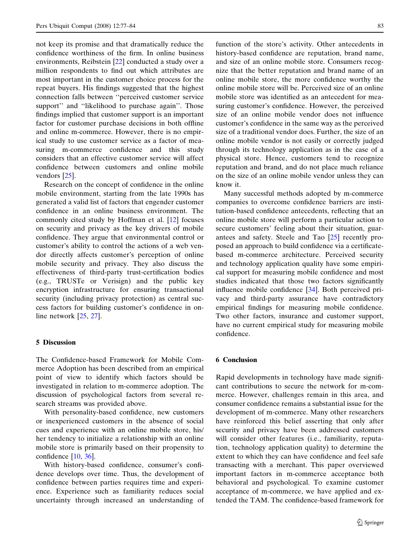not keep its promise and that dramatically reduce the confidence worthiness of the firm. In online business environments, Reibstein [[22\]](#page-7-0) conducted a study over a million respondents to find out which attributes are most important in the customer choice process for the repeat buyers. His findings suggested that the highest connection falls between ''perceived customer service support" and "likelihood to purchase again". Those findings implied that customer support is an important factor for customer purchase decisions in both offline and online m-commerce. However, there is no empirical study to use customer service as a factor of measuring m-commerce confidence and this study considers that an effective customer service will affect confidence between customers and online mobile vendors [[25\]](#page-7-0).

Research on the concept of confidence in the online mobile environment, starting from the late 1990s has generated a valid list of factors that engender customer confidence in an online business environment. The commonly cited study by Hoffman et al. [\[12](#page-7-0)] focuses on security and privacy as the key drivers of mobile confidence. They argue that environmental control or customer's ability to control the actions of a web vendor directly affects customer's perception of online mobile security and privacy. They also discuss the effectiveness of third-party trust-certification bodies (e.g., TRUSTe or Verisign) and the public key encryption infrastructure for ensuring transactional security (including privacy protection) as central success factors for building customer's confidence in online network [[25,](#page-7-0) [27\]](#page-7-0).

#### 5 Discussion

The Confidence-based Framework for Mobile Commerce Adoption has been described from an empirical point of view to identify which factors should be investigated in relation to m-commerce adoption. The discussion of psychological factors from several research streams was provided above.

With personality-based confidence, new customers or inexperienced customers in the absence of social cues and experience with an online mobile store, his/ her tendency to initialize a relationship with an online mobile store is primarily based on their propensity to confidence [\[10](#page-7-0), [36\]](#page-7-0).

With history-based confidence, consumer's confidence develops over time. Thus, the development of confidence between parties requires time and experience. Experience such as familiarity reduces social uncertainty through increased an understanding of function of the store's activity. Other antecedents in history-based confidence are reputation, brand name, and size of an online mobile store. Consumers recognize that the better reputation and brand name of an online mobile store, the more confidence worthy the online mobile store will be. Perceived size of an online mobile store was identified as an antecedent for measuring customer's confidence. However, the perceived size of an online mobile vendor does not influence customer's confidence in the same way as the perceived size of a traditional vendor does. Further, the size of an online mobile vendor is not easily or correctly judged through its technology application as in the case of a physical store. Hence, customers tend to recognize reputation and brand, and do not place much reliance on the size of an online mobile vendor unless they can know it.

Many successful methods adopted by m-commerce companies to overcome confidence barriers are institution-based confidence antecedents, reflecting that an online mobile store will perform a particular action to secure customers' feeling about their situation, guarantees and safety. Steele and Tao [[25\]](#page-7-0) recently proposed an approach to build confidence via a certificatebased m-commerce architecture. Perceived security and technology application quality have some empirical support for measuring mobile confidence and most studies indicated that those two factors significantly influence mobile confidence [\[34](#page-7-0)]. Both perceived privacy and third-party assurance have contradictory empirical findings for measuring mobile confidence. Two other factors, insurance and customer support, have no current empirical study for measuring mobile confidence.

#### 6 Conclusion

Rapid developments in technology have made significant contributions to secure the network for m-commerce. However, challenges remain in this area, and consumer confidence remains a substantial issue for the development of m-commerce. Many other researchers have reinforced this belief asserting that only after security and privacy have been addressed customers will consider other features (i.e., familiarity, reputation, technology application quality) to determine the extent to which they can have confidence and feel safe transacting with a merchant. This paper overviewed important factors in m-commerce acceptance both behavioral and psychological. To examine customer acceptance of m-commerce, we have applied and extended the TAM. The confidence-based framework for